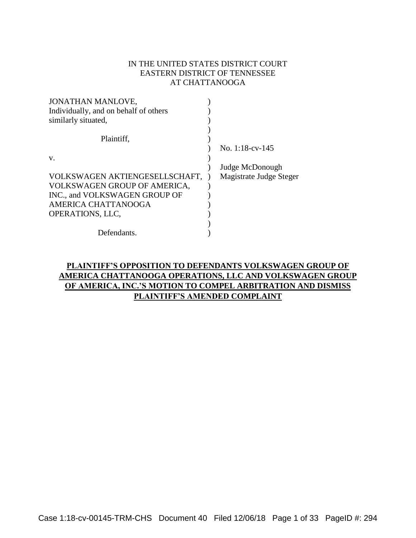# IN THE UNITED STATES DISTRICT COURT EASTERN DISTRICT OF TENNESSEE AT CHATTANOOGA

| JONATHAN MANLOVE,                     |                         |
|---------------------------------------|-------------------------|
| Individually, and on behalf of others |                         |
| similarly situated,                   |                         |
|                                       |                         |
| Plaintiff.                            |                         |
|                                       | No. $1:18$ -cv- $145$   |
| V.                                    |                         |
|                                       | Judge McDonough         |
| VOLKSWAGEN AKTIENGESELLSCHAFT,        | Magistrate Judge Steger |
| VOLKSWAGEN GROUP OF AMERICA,          |                         |
| INC., and VOLKSWAGEN GROUP OF         |                         |
| AMERICA CHATTANOOGA                   |                         |
| <b>OPERATIONS, LLC,</b>               |                         |
|                                       |                         |
| Defendants.                           |                         |
|                                       |                         |

# **PLAINTIFF'S OPPOSITION TO DEFENDANTS VOLKSWAGEN GROUP OF AMERICA CHATTANOOGA OPERATIONS, LLC AND VOLKSWAGEN GROUP OF AMERICA, INC.'S MOTION TO COMPEL ARBITRATION AND DISMISS PLAINTIFF'S AMENDED COMPLAINT**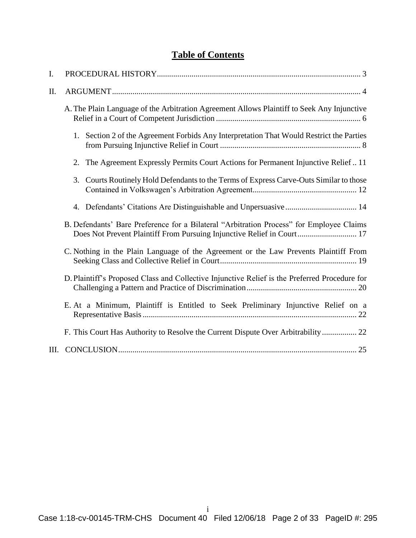# **Table of Contents**

| I.   |                                                                                                                                                                    |
|------|--------------------------------------------------------------------------------------------------------------------------------------------------------------------|
| II.  |                                                                                                                                                                    |
|      | A. The Plain Language of the Arbitration Agreement Allows Plaintiff to Seek Any Injunctive                                                                         |
|      | 1. Section 2 of the Agreement Forbids Any Interpretation That Would Restrict the Parties                                                                           |
|      | The Agreement Expressly Permits Court Actions for Permanent Injunctive Relief 11<br>2.                                                                             |
|      | Courts Routinely Hold Defendants to the Terms of Express Carve-Outs Similar to those<br>3.                                                                         |
|      | 4.                                                                                                                                                                 |
|      | B. Defendants' Bare Preference for a Bilateral "Arbitration Process" for Employee Claims<br>Does Not Prevent Plaintiff From Pursuing Injunctive Relief in Court 17 |
|      | C. Nothing in the Plain Language of the Agreement or the Law Prevents Plaintiff From                                                                               |
|      | D. Plaintiff's Proposed Class and Collective Injunctive Relief is the Preferred Procedure for                                                                      |
|      | E. At a Minimum, Plaintiff is Entitled to Seek Preliminary Injunctive Relief on a                                                                                  |
|      | F. This Court Has Authority to Resolve the Current Dispute Over Arbitrability 22                                                                                   |
| III. |                                                                                                                                                                    |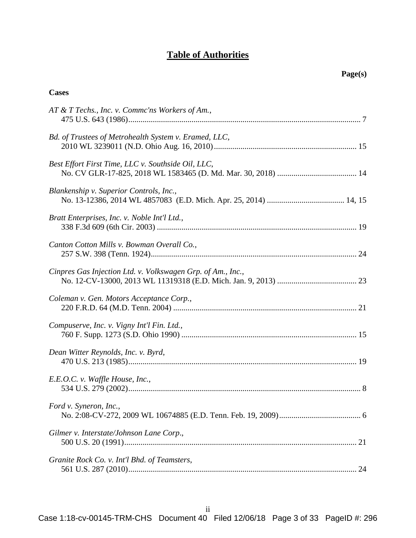# **Table of Authorities**

# **Cases**

| AT & T Techs., Inc. v. Commc'ns Workers of Am.,             |
|-------------------------------------------------------------|
| Bd. of Trustees of Metrohealth System v. Eramed, LLC,       |
| Best Effort First Time, LLC v. Southside Oil, LLC,          |
| Blankenship v. Superior Controls, Inc.,                     |
| Bratt Enterprises, Inc. v. Noble Int'l Ltd.,                |
| Canton Cotton Mills v. Bowman Overall Co.,                  |
| Cinpres Gas Injection Ltd. v. Volkswagen Grp. of Am., Inc., |
| Coleman v. Gen. Motors Acceptance Corp.,                    |
| Compuserve, Inc. v. Vigny Int'l Fin. Ltd.,                  |
| Dean Witter Reynolds, Inc. v. Byrd,                         |
| E.E.O.C. v. Waffle House, Inc.,                             |
| Ford v. Syneron, Inc.,                                      |
| Gilmer v. Interstate/Johnson Lane Corp.,                    |
| Granite Rock Co. v. Int'l Bhd. of Teamsters,                |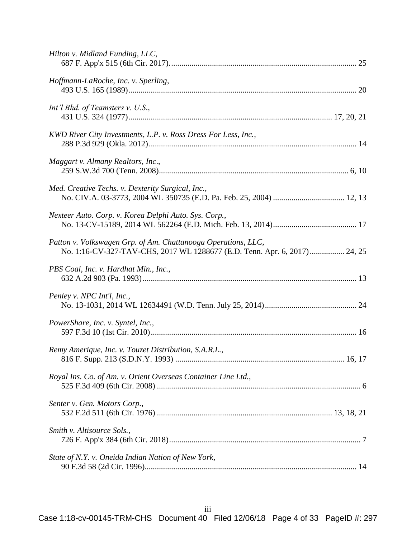| Hilton v. Midland Funding, LLC,                                                                                                            |  |
|--------------------------------------------------------------------------------------------------------------------------------------------|--|
| Hoffmann-LaRoche, Inc. v. Sperling,                                                                                                        |  |
| Int'l Bhd. of Teamsters v. U.S.,                                                                                                           |  |
| KWD River City Investments, L.P. v. Ross Dress For Less, Inc.,                                                                             |  |
| Maggart v. Almany Realtors, Inc.,                                                                                                          |  |
| Med. Creative Techs. v. Dexterity Surgical, Inc.,                                                                                          |  |
| Nexteer Auto. Corp. v. Korea Delphi Auto. Sys. Corp.,                                                                                      |  |
| Patton v. Volkswagen Grp. of Am. Chattanooga Operations, LLC,<br>No. 1:16-CV-327-TAV-CHS, 2017 WL 1288677 (E.D. Tenn. Apr. 6, 2017) 24, 25 |  |
| PBS Coal, Inc. v. Hardhat Min., Inc.,                                                                                                      |  |
| Penley v. NPC Int'l, Inc.,                                                                                                                 |  |
| PowerShare, Inc. v. Syntel, Inc.,                                                                                                          |  |
| Remy Amerique, Inc. v. Touzet Distribution, S.A.R.L.,                                                                                      |  |
| Royal Ins. Co. of Am. v. Orient Overseas Container Line Ltd.,                                                                              |  |
| Senter v. Gen. Motors Corp.,                                                                                                               |  |
| Smith v. Altisource Sols.,                                                                                                                 |  |
| State of N.Y. v. Oneida Indian Nation of New York,                                                                                         |  |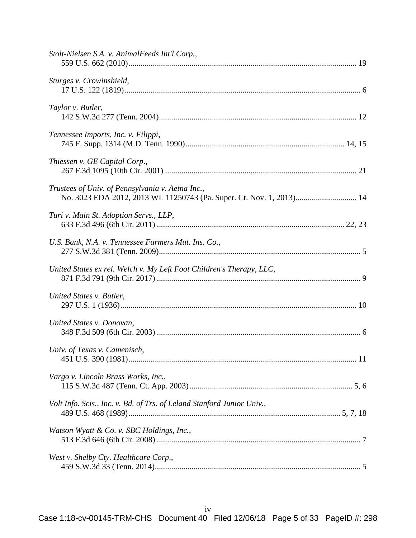| Stolt-Nielsen S.A. v. AnimalFeeds Int'l Corp.,                                                                           |  |
|--------------------------------------------------------------------------------------------------------------------------|--|
| Sturges v. Crowinshield,                                                                                                 |  |
| Taylor v. Butler,                                                                                                        |  |
| Tennessee Imports, Inc. v. Filippi,                                                                                      |  |
| Thiessen v. GE Capital Corp.,                                                                                            |  |
| Trustees of Univ. of Pennsylvania v. Aetna Inc.,<br>No. 3023 EDA 2012, 2013 WL 11250743 (Pa. Super. Ct. Nov. 1, 2013) 14 |  |
| Turi v. Main St. Adoption Servs., LLP,                                                                                   |  |
| U.S. Bank, N.A. v. Tennessee Farmers Mut. Ins. Co.,                                                                      |  |
| United States ex rel. Welch v. My Left Foot Children's Therapy, LLC,                                                     |  |
| United States v. Butler,                                                                                                 |  |
| United States v. Donovan,                                                                                                |  |
| Univ. of Texas v. Camenisch,                                                                                             |  |
| Vargo v. Lincoln Brass Works, Inc.,                                                                                      |  |
| Volt Info. Scis., Inc. v. Bd. of Trs. of Leland Stanford Junior Univ.,                                                   |  |
| Watson Wyatt & Co. v. SBC Holdings, Inc.,                                                                                |  |
| West v. Shelby Cty. Healthcare Corp.,                                                                                    |  |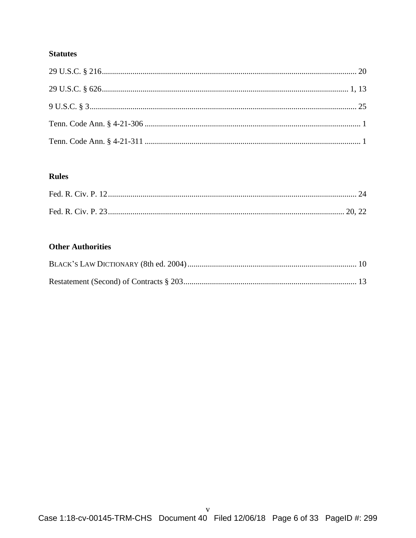# **Statutes**

# **Rules**

# **Other Authorities**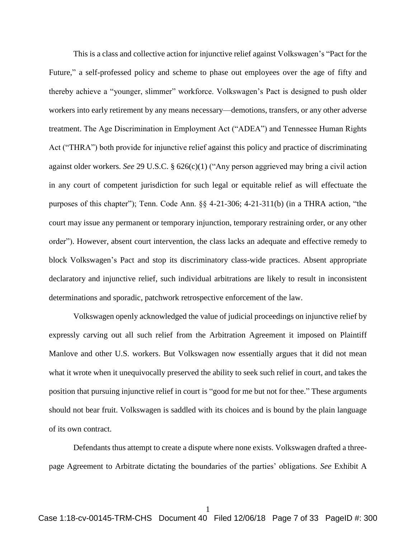This is a class and collective action for injunctive relief against Volkswagen's "Pact for the Future," a self-professed policy and scheme to phase out employees over the age of fifty and thereby achieve a "younger, slimmer" workforce. Volkswagen's Pact is designed to push older workers into early retirement by any means necessary—demotions, transfers, or any other adverse treatment. The Age Discrimination in Employment Act ("ADEA") and Tennessee Human Rights Act ("THRA") both provide for injunctive relief against this policy and practice of discriminating against older workers. *See* 29 U.S.C. § 626(c)(1) ("Any person aggrieved may bring a civil action in any court of competent jurisdiction for such legal or equitable relief as will effectuate the purposes of this chapter"); Tenn. Code Ann. §§ 4-21-306; 4-21-311(b) (in a THRA action, "the court may issue any permanent or temporary injunction, temporary restraining order, or any other order"). However, absent court intervention, the class lacks an adequate and effective remedy to block Volkswagen's Pact and stop its discriminatory class-wide practices. Absent appropriate declaratory and injunctive relief, such individual arbitrations are likely to result in inconsistent determinations and sporadic, patchwork retrospective enforcement of the law.

Volkswagen openly acknowledged the value of judicial proceedings on injunctive relief by expressly carving out all such relief from the Arbitration Agreement it imposed on Plaintiff Manlove and other U.S. workers. But Volkswagen now essentially argues that it did not mean what it wrote when it unequivocally preserved the ability to seek such relief in court, and takes the position that pursuing injunctive relief in court is "good for me but not for thee." These arguments should not bear fruit. Volkswagen is saddled with its choices and is bound by the plain language of its own contract.

Defendants thus attempt to create a dispute where none exists. Volkswagen drafted a threepage Agreement to Arbitrate dictating the boundaries of the parties' obligations. *See* Exhibit A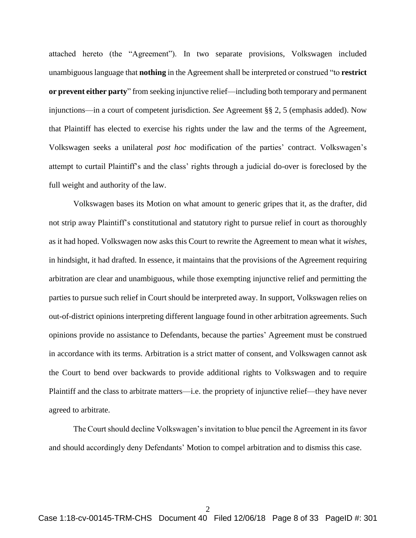attached hereto (the "Agreement"). In two separate provisions, Volkswagen included unambiguous language that **nothing** in the Agreement shall be interpreted or construed "to **restrict or prevent either party**" from seeking injunctive relief—including both temporary and permanent injunctions—in a court of competent jurisdiction. *See* Agreement §§ 2, 5 (emphasis added). Now that Plaintiff has elected to exercise his rights under the law and the terms of the Agreement, Volkswagen seeks a unilateral *post hoc* modification of the parties' contract. Volkswagen's attempt to curtail Plaintiff's and the class' rights through a judicial do-over is foreclosed by the full weight and authority of the law.

Volkswagen bases its Motion on what amount to generic gripes that it, as the drafter, did not strip away Plaintiff's constitutional and statutory right to pursue relief in court as thoroughly as it had hoped. Volkswagen now asks this Court to rewrite the Agreement to mean what it *wishes*, in hindsight, it had drafted. In essence, it maintains that the provisions of the Agreement requiring arbitration are clear and unambiguous, while those exempting injunctive relief and permitting the parties to pursue such relief in Court should be interpreted away. In support, Volkswagen relies on out-of-district opinions interpreting different language found in other arbitration agreements. Such opinions provide no assistance to Defendants, because the parties' Agreement must be construed in accordance with its terms. Arbitration is a strict matter of consent, and Volkswagen cannot ask the Court to bend over backwards to provide additional rights to Volkswagen and to require Plaintiff and the class to arbitrate matters—i.e. the propriety of injunctive relief—they have never agreed to arbitrate.

The Court should decline Volkswagen's invitation to blue pencil the Agreement in its favor and should accordingly deny Defendants' Motion to compel arbitration and to dismiss this case.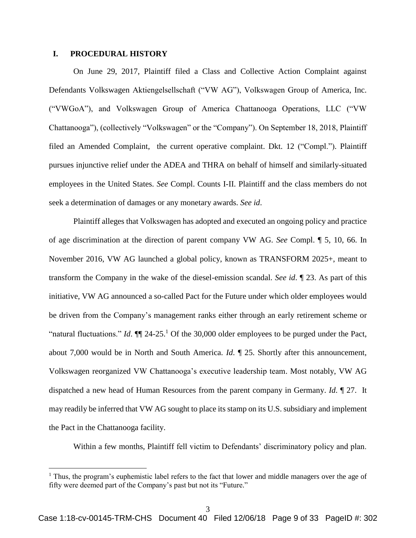### <span id="page-8-0"></span>**I. PROCEDURAL HISTORY**

 $\overline{a}$ 

On June 29, 2017, Plaintiff filed a Class and Collective Action Complaint against Defendants Volkswagen Aktiengelsellschaft ("VW AG"), Volkswagen Group of America, Inc. ("VWGoA"), and Volkswagen Group of America Chattanooga Operations, LLC ("VW Chattanooga"), (collectively "Volkswagen" or the "Company"). On September 18, 2018, Plaintiff filed an Amended Complaint, the current operative complaint. Dkt. 12 ("Compl."). Plaintiff pursues injunctive relief under the ADEA and THRA on behalf of himself and similarly-situated employees in the United States. *See* Compl. Counts I-II. Plaintiff and the class members do not seek a determination of damages or any monetary awards. *See id*.

Plaintiff alleges that Volkswagen has adopted and executed an ongoing policy and practice of age discrimination at the direction of parent company VW AG. *See* Compl. ¶ 5, 10, 66. In November 2016, VW AG launched a global policy, known as TRANSFORM 2025+, meant to transform the Company in the wake of the diesel-emission scandal. *See id*. ¶ 23. As part of this initiative, VW AG announced a so-called Pact for the Future under which older employees would be driven from the Company's management ranks either through an early retirement scheme or "natural fluctuations." *Id*. ¶¶ 24-25. <sup>1</sup> Of the 30,000 older employees to be purged under the Pact, about 7,000 would be in North and South America. *Id*. ¶ 25. Shortly after this announcement, Volkswagen reorganized VW Chattanooga's executive leadership team. Most notably, VW AG dispatched a new head of Human Resources from the parent company in Germany. *Id*. ¶ 27. It may readily be inferred that VW AG sought to place its stamp on its U.S. subsidiary and implement the Pact in the Chattanooga facility.

Within a few months, Plaintiff fell victim to Defendants' discriminatory policy and plan.

 $1$  Thus, the program's euphemistic label refers to the fact that lower and middle managers over the age of fifty were deemed part of the Company's past but not its "Future."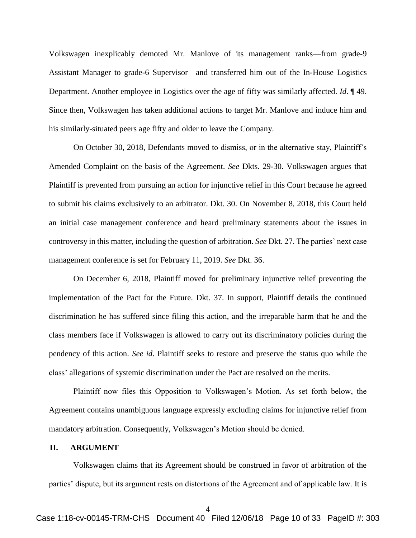Volkswagen inexplicably demoted Mr. Manlove of its management ranks—from grade-9 Assistant Manager to grade-6 Supervisor—and transferred him out of the In-House Logistics Department. Another employee in Logistics over the age of fifty was similarly affected. *Id*. ¶ 49. Since then, Volkswagen has taken additional actions to target Mr. Manlove and induce him and his similarly-situated peers age fifty and older to leave the Company.

On October 30, 2018, Defendants moved to dismiss, or in the alternative stay, Plaintiff's Amended Complaint on the basis of the Agreement. *See* Dkts. 29-30. Volkswagen argues that Plaintiff is prevented from pursuing an action for injunctive relief in this Court because he agreed to submit his claims exclusively to an arbitrator. Dkt. 30. On November 8, 2018, this Court held an initial case management conference and heard preliminary statements about the issues in controversy in this matter, including the question of arbitration. *See* Dkt. 27. The parties' next case management conference is set for February 11, 2019. *See* Dkt. 36.

On December 6, 2018, Plaintiff moved for preliminary injunctive relief preventing the implementation of the Pact for the Future. Dkt. 37. In support, Plaintiff details the continued discrimination he has suffered since filing this action, and the irreparable harm that he and the class members face if Volkswagen is allowed to carry out its discriminatory policies during the pendency of this action. *See id*. Plaintiff seeks to restore and preserve the status quo while the class' allegations of systemic discrimination under the Pact are resolved on the merits.

Plaintiff now files this Opposition to Volkswagen's Motion. As set forth below, the Agreement contains unambiguous language expressly excluding claims for injunctive relief from mandatory arbitration. Consequently, Volkswagen's Motion should be denied.

#### <span id="page-9-0"></span>**II. ARGUMENT**

Volkswagen claims that its Agreement should be construed in favor of arbitration of the parties' dispute, but its argument rests on distortions of the Agreement and of applicable law. It is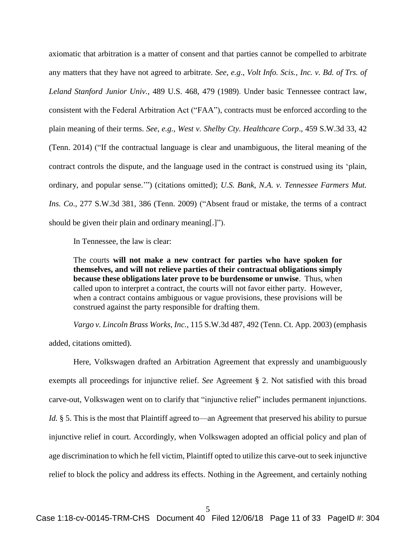axiomatic that arbitration is a matter of consent and that parties cannot be compelled to arbitrate any matters that they have not agreed to arbitrate. *See, e.g*., *Volt Info. Scis., Inc. v. Bd. of Trs. of Leland Stanford Junior Univ.*, 489 U.S. 468, 479 (1989). Under basic Tennessee contract law, consistent with the Federal Arbitration Act ("FAA"), contracts must be enforced according to the plain meaning of their terms. *See, e.g.*, *West v. Shelby Cty. Healthcare Corp*., 459 S.W.3d 33, 42 (Tenn. 2014) ("If the contractual language is clear and unambiguous, the literal meaning of the contract controls the dispute, and the language used in the contract is construed using its 'plain, ordinary, and popular sense.'") (citations omitted); *U.S. Bank, N.A. v. Tennessee Farmers Mut. Ins. Co*., 277 S.W.3d 381, 386 (Tenn. 2009) ("Absent fraud or mistake, the terms of a contract should be given their plain and ordinary meaning[.]").

In Tennessee, the law is clear:

The courts **will not make a new contract for parties who have spoken for themselves, and will not relieve parties of their contractual obligations simply because these obligations later prove to be burdensome or unwise**. Thus, when called upon to interpret a contract, the courts will not favor either party. However, when a contract contains ambiguous or vague provisions, these provisions will be construed against the party responsible for drafting them.

*Vargo v. Lincoln Brass Works, Inc.*, 115 S.W.3d 487, 492 (Tenn. Ct. App. 2003) (emphasis added, citations omitted).

Here, Volkswagen drafted an Arbitration Agreement that expressly and unambiguously exempts all proceedings for injunctive relief. *See* Agreement § 2. Not satisfied with this broad carve-out, Volkswagen went on to clarify that "injunctive relief" includes permanent injunctions. *Id.* § 5. This is the most that Plaintiff agreed to—an Agreement that preserved his ability to pursue injunctive relief in court. Accordingly, when Volkswagen adopted an official policy and plan of age discrimination to which he fell victim, Plaintiff opted to utilize this carve-out to seek injunctive relief to block the policy and address its effects. Nothing in the Agreement, and certainly nothing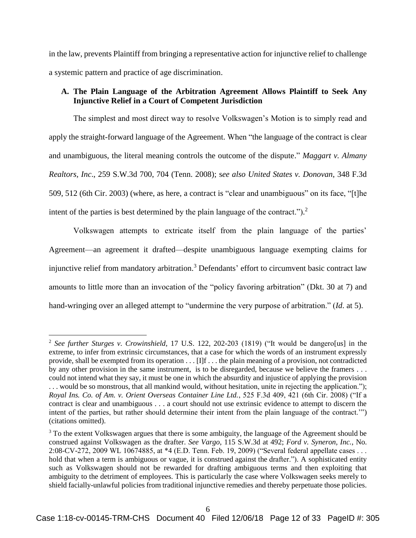in the law, prevents Plaintiff from bringing a representative action for injunctive relief to challenge a systemic pattern and practice of age discrimination.

# <span id="page-11-0"></span>**A. The Plain Language of the Arbitration Agreement Allows Plaintiff to Seek Any Injunctive Relief in a Court of Competent Jurisdiction**

The simplest and most direct way to resolve Volkswagen's Motion is to simply read and apply the straight-forward language of the Agreement. When "the language of the contract is clear and unambiguous, the literal meaning controls the outcome of the dispute." *Maggart v. Almany Realtors, Inc*., 259 S.W.3d 700, 704 (Tenn. 2008); s*ee also United States v. Donovan*, 348 F.3d 509, 512 (6th Cir. 2003) (where, as here, a contract is "clear and unambiguous" on its face, "[t]he intent of the parties is best determined by the plain language of the contract."). 2

Volkswagen attempts to extricate itself from the plain language of the parties' Agreement—an agreement it drafted—despite unambiguous language exempting claims for injunctive relief from mandatory arbitration.<sup>3</sup> Defendants' effort to circumvent basic contract law amounts to little more than an invocation of the "policy favoring arbitration" (Dkt. 30 at 7) and hand-wringing over an alleged attempt to "undermine the very purpose of arbitration." (*Id*. at 5).

 $\overline{a}$ 

<sup>2</sup> *See further Sturges v. Crowinshield*, 17 U.S. 122, 202-203 (1819) ("It would be dangero[us] in the extreme, to infer from extrinsic circumstances, that a case for which the words of an instrument expressly provide, shall be exempted from its operation . . . [I]f . . . the plain meaning of a provision, not contradicted by any other provision in the same instrument, is to be disregarded, because we believe the framers . . . could not intend what they say, it must be one in which the absurdity and injustice of applying the provision . . . would be so monstrous, that all mankind would, without hesitation, unite in rejecting the application."); *Royal Ins. Co. of Am. v. Orient Overseas Container Line Ltd.*, 525 F.3d 409, 421 (6th Cir. 2008) ("If a contract is clear and unambiguous . . . a court should not use extrinsic evidence to attempt to discern the intent of the parties, but rather should determine their intent from the plain language of the contract.'") (citations omitted).

<sup>&</sup>lt;sup>3</sup> To the extent Volkswagen argues that there is some ambiguity, the language of the Agreement should be construed against Volkswagen as the drafter. *See Vargo*, 115 S.W.3d at 492; *Ford v. Syneron, Inc.*, No. 2:08-CV-272, 2009 WL 10674885, at \*4 (E.D. Tenn. Feb. 19, 2009) ("Several federal appellate cases . . . hold that when a term is ambiguous or vague, it is construed against the drafter."). A sophisticated entity such as Volkswagen should not be rewarded for drafting ambiguous terms and then exploiting that ambiguity to the detriment of employees. This is particularly the case where Volkswagen seeks merely to shield facially-unlawful policies from traditional injunctive remedies and thereby perpetuate those policies.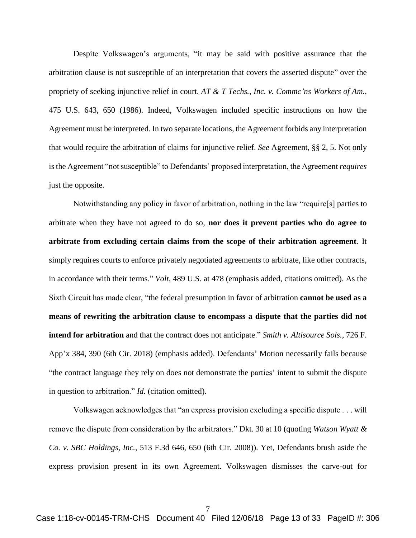Despite Volkswagen's arguments, "it may be said with positive assurance that the arbitration clause is not susceptible of an interpretation that covers the asserted dispute" over the propriety of seeking injunctive relief in court. *AT & T Techs., Inc. v. Commc'ns Workers of Am.*, 475 U.S. 643, 650 (1986). Indeed, Volkswagen included specific instructions on how the Agreement must be interpreted. In two separate locations, the Agreement forbids any interpretation that would require the arbitration of claims for injunctive relief. *See* Agreement, §§ 2, 5. Not only isthe Agreement "not susceptible" to Defendants' proposed interpretation, the Agreement *requires*  just the opposite.

Notwithstanding any policy in favor of arbitration, nothing in the law "require[s] parties to arbitrate when they have not agreed to do so, **nor does it prevent parties who do agree to arbitrate from excluding certain claims from the scope of their arbitration agreement**. It simply requires courts to enforce privately negotiated agreements to arbitrate, like other contracts, in accordance with their terms." *Volt*, 489 U.S. at 478 (emphasis added, citations omitted). As the Sixth Circuit has made clear, "the federal presumption in favor of arbitration **cannot be used as a means of rewriting the arbitration clause to encompass a dispute that the parties did not intend for arbitration** and that the contract does not anticipate." *Smith v. Altisource Sols.*, 726 F. App'x 384, 390 (6th Cir. 2018) (emphasis added). Defendants' Motion necessarily fails because "the contract language they rely on does not demonstrate the parties' intent to submit the dispute in question to arbitration." *Id.* (citation omitted).

Volkswagen acknowledges that "an express provision excluding a specific dispute . . . will remove the dispute from consideration by the arbitrators." Dkt. 30 at 10 (quoting *Watson Wyatt & Co. v. SBC Holdings, Inc.*, 513 F.3d 646, 650 (6th Cir. 2008)). Yet, Defendants brush aside the express provision present in its own Agreement. Volkswagen dismisses the carve-out for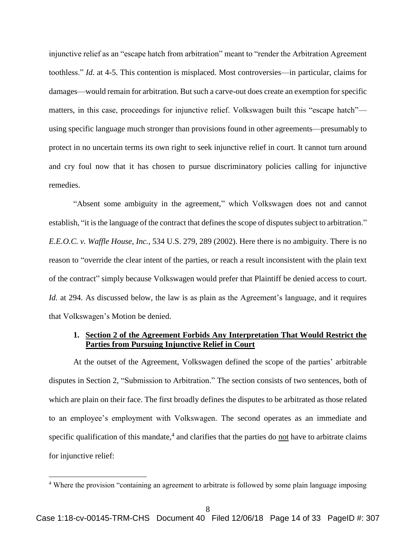injunctive relief as an "escape hatch from arbitration" meant to "render the Arbitration Agreement toothless." *Id.* at 4-5. This contention is misplaced. Most controversies—in particular, claims for damages—would remain for arbitration. But such a carve-out does create an exemption for specific matters, in this case, proceedings for injunctive relief. Volkswagen built this "escape hatch" using specific language much stronger than provisions found in other agreements—presumably to protect in no uncertain terms its own right to seek injunctive relief in court. It cannot turn around and cry foul now that it has chosen to pursue discriminatory policies calling for injunctive remedies.

"Absent some ambiguity in the agreement," which Volkswagen does not and cannot establish, "it is the language of the contract that defines the scope of disputes subject to arbitration." *E.E.O.C. v. Waffle House, Inc.*, 534 U.S. 279, 289 (2002). Here there is no ambiguity. There is no reason to "override the clear intent of the parties, or reach a result inconsistent with the plain text of the contract" simply because Volkswagen would prefer that Plaintiff be denied access to court. *Id.* at 294. As discussed below, the law is as plain as the Agreement's language, and it requires that Volkswagen's Motion be denied.

### <span id="page-13-0"></span>**1. Section 2 of the Agreement Forbids Any Interpretation That Would Restrict the Parties from Pursuing Injunctive Relief in Court**

At the outset of the Agreement, Volkswagen defined the scope of the parties' arbitrable disputes in Section 2, "Submission to Arbitration." The section consists of two sentences, both of which are plain on their face. The first broadly defines the disputes to be arbitrated as those related to an employee's employment with Volkswagen. The second operates as an immediate and specific qualification of this mandate, $4$  and clarifies that the parties do not have to arbitrate claims for injunctive relief:

 $\overline{a}$ 

<sup>&</sup>lt;sup>4</sup> Where the provision "containing an agreement to arbitrate is followed by some plain language imposing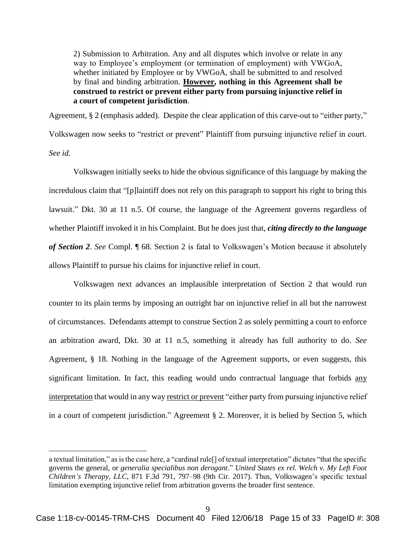2) Submission to Arbitration. Any and all disputes which involve or relate in any way to Employee's employment (or termination of employment) with VWGoA, whether initiated by Employee or by VWGoA, shall be submitted to and resolved by final and binding arbitration. **However, nothing in this Agreement shall be construed to restrict or prevent either party from pursuing injunctive relief in a court of competent jurisdiction**.

Agreement, § 2 (emphasis added). Despite the clear application of this carve-out to "either party," Volkswagen now seeks to "restrict or prevent" Plaintiff from pursuing injunctive relief in court. *See id.*

Volkswagen initially seeks to hide the obvious significance of this language by making the incredulous claim that "[p]laintiff does not rely on this paragraph to support his right to bring this lawsuit." Dkt. 30 at 11 n.5. Of course, the language of the Agreement governs regardless of whether Plaintiff invoked it in his Complaint. But he does just that, *citing directly to the language of Section 2*. *See* Compl. ¶ 68. Section 2 is fatal to Volkswagen's Motion because it absolutely allows Plaintiff to pursue his claims for injunctive relief in court.

Volkswagen next advances an implausible interpretation of Section 2 that would run counter to its plain terms by imposing an outright bar on injunctive relief in all but the narrowest of circumstances. Defendants attempt to construe Section 2 as solely permitting a court to enforce an arbitration award, Dkt. 30 at 11 n.5, something it already has full authority to do. *See*  Agreement, § 18. Nothing in the language of the Agreement supports, or even suggests, this significant limitation. In fact, this reading would undo contractual language that forbids any interpretation that would in any way restrict or prevent "either party from pursuing injunctive relief in a court of competent jurisdiction." Agreement § 2. Moreover, it is belied by Section 5, which

 $\overline{a}$ 

a textual limitation," as is the case here, a "cardinal rule[] of textual interpretation" dictates "that the specific governs the general, or *generalia specialibus non derogant*." *United States ex rel. Welch v. My Left Foot Children's Therapy, LLC*, 871 F.3d 791, 797–98 (9th Cir. 2017). Thus, Volkswagen's specific textual limitation exempting injunctive relief from arbitration governs the broader first sentence.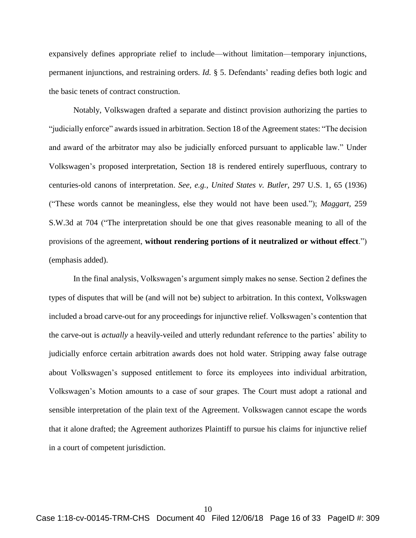expansively defines appropriate relief to include—without limitation—temporary injunctions, permanent injunctions, and restraining orders. *Id.* § 5. Defendants' reading defies both logic and the basic tenets of contract construction.

Notably, Volkswagen drafted a separate and distinct provision authorizing the parties to "judicially enforce" awards issued in arbitration. Section 18 of the Agreement states: "The decision and award of the arbitrator may also be judicially enforced pursuant to applicable law." Under Volkswagen's proposed interpretation, Section 18 is rendered entirely superfluous, contrary to centuries-old canons of interpretation. *See, e.g.*, *United States v. Butler*, 297 U.S. 1, 65 (1936) ("These words cannot be meaningless, else they would not have been used."); *Maggart,* 259 S.W.3d at 704 ("The interpretation should be one that gives reasonable meaning to all of the provisions of the agreement, **without rendering portions of it neutralized or without effect**.") (emphasis added).

In the final analysis, Volkswagen's argument simply makes no sense. Section 2 defines the types of disputes that will be (and will not be) subject to arbitration. In this context, Volkswagen included a broad carve-out for any proceedings for injunctive relief. Volkswagen's contention that the carve-out is *actually* a heavily-veiled and utterly redundant reference to the parties' ability to judicially enforce certain arbitration awards does not hold water. Stripping away false outrage about Volkswagen's supposed entitlement to force its employees into individual arbitration, Volkswagen's Motion amounts to a case of sour grapes. The Court must adopt a rational and sensible interpretation of the plain text of the Agreement. Volkswagen cannot escape the words that it alone drafted; the Agreement authorizes Plaintiff to pursue his claims for injunctive relief in a court of competent jurisdiction.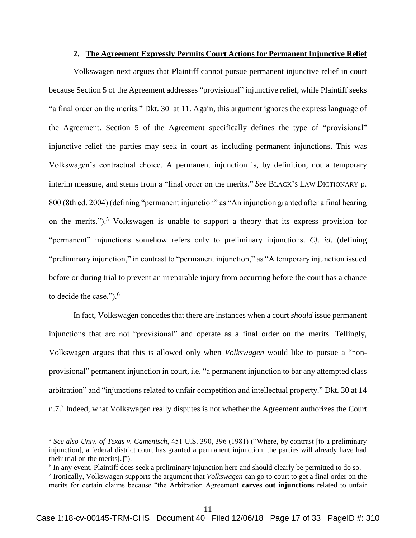#### **2. The Agreement Expressly Permits Court Actions for Permanent Injunctive Relief**

<span id="page-16-0"></span>Volkswagen next argues that Plaintiff cannot pursue permanent injunctive relief in court because Section 5 of the Agreement addresses "provisional" injunctive relief, while Plaintiff seeks "a final order on the merits." Dkt. 30 at 11. Again, this argument ignores the express language of the Agreement. Section 5 of the Agreement specifically defines the type of "provisional" injunctive relief the parties may seek in court as including permanent injunctions. This was Volkswagen's contractual choice. A permanent injunction is, by definition, not a temporary interim measure, and stems from a "final order on the merits." *See* BLACK'S LAW DICTIONARY p. 800 (8th ed. 2004) (defining "permanent injunction" as "An injunction granted after a final hearing on the merits."). <sup>5</sup> Volkswagen is unable to support a theory that its express provision for "permanent" injunctions somehow refers only to preliminary injunctions. *Cf. id*. (defining "preliminary injunction," in contrast to "permanent injunction," as "A temporary injunction issued before or during trial to prevent an irreparable injury from occurring before the court has a chance to decide the case.").<sup>6</sup>

In fact, Volkswagen concedes that there are instances when a court *should* issue permanent injunctions that are not "provisional" and operate as a final order on the merits. Tellingly, Volkswagen argues that this is allowed only when *Volkswagen* would like to pursue a "nonprovisional" permanent injunction in court, i.e. "a permanent injunction to bar any attempted class arbitration" and "injunctions related to unfair competition and intellectual property." Dkt. 30 at 14 n.7. $^7$  Indeed, what Volkswagen really disputes is not whether the Agreement authorizes the Court

 $\overline{a}$ 

<sup>5</sup> *See also Univ. of Texas v. Camenisch*, 451 U.S. 390, 396 (1981) ("Where, by contrast [to a preliminary injunction], a federal district court has granted a permanent injunction, the parties will already have had their trial on the merits[.]").

<sup>&</sup>lt;sup>6</sup> In any event, Plaintiff does seek a preliminary injunction here and should clearly be permitted to do so.

<sup>7</sup> Ironically, Volkswagen supports the argument that *Volkswagen* can go to court to get a final order on the merits for certain claims because "the Arbitration Agreement **carves out injunctions** related to unfair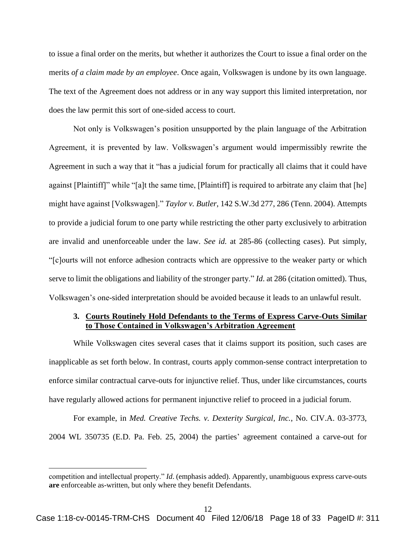to issue a final order on the merits, but whether it authorizes the Court to issue a final order on the merits *of a claim made by an employee*. Once again, Volkswagen is undone by its own language. The text of the Agreement does not address or in any way support this limited interpretation, nor does the law permit this sort of one-sided access to court.

Not only is Volkswagen's position unsupported by the plain language of the Arbitration Agreement, it is prevented by law. Volkswagen's argument would impermissibly rewrite the Agreement in such a way that it "has a judicial forum for practically all claims that it could have against [Plaintiff]" while "[a]t the same time, [Plaintiff] is required to arbitrate any claim that [he] might have against [Volkswagen]." *Taylor v. Butler*, 142 S.W.3d 277, 286 (Tenn. 2004). Attempts to provide a judicial forum to one party while restricting the other party exclusively to arbitration are invalid and unenforceable under the law. *See id.* at 285-86 (collecting cases). Put simply, "[c]ourts will not enforce adhesion contracts which are oppressive to the weaker party or which serve to limit the obligations and liability of the stronger party." *Id*. at 286 (citation omitted). Thus, Volkswagen's one-sided interpretation should be avoided because it leads to an unlawful result.

# <span id="page-17-0"></span>**3. Courts Routinely Hold Defendants to the Terms of Express Carve-Outs Similar to Those Contained in Volkswagen's Arbitration Agreement**

While Volkswagen cites several cases that it claims support its position, such cases are inapplicable as set forth below. In contrast, courts apply common-sense contract interpretation to enforce similar contractual carve-outs for injunctive relief. Thus, under like circumstances, courts have regularly allowed actions for permanent injunctive relief to proceed in a judicial forum.

For example, in *Med. Creative Techs. v. Dexterity Surgical, Inc.*, No. CIV.A. 03-3773, 2004 WL 350735 (E.D. Pa. Feb. 25, 2004) the parties' agreement contained a carve-out for

 $\overline{a}$ 

competition and intellectual property." *Id*. (emphasis added). Apparently, unambiguous express carve-outs **are** enforceable as-written, but only where they benefit Defendants.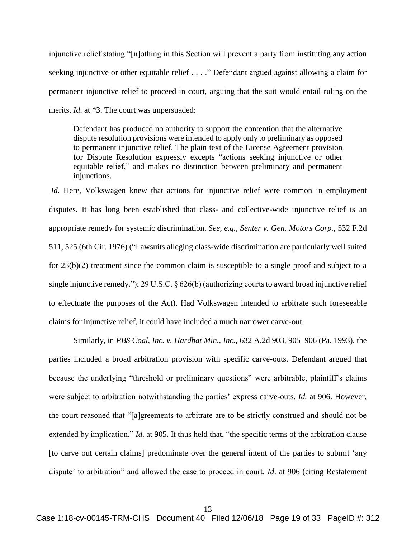injunctive relief stating "[n]othing in this Section will prevent a party from instituting any action seeking injunctive or other equitable relief . . . ." Defendant argued against allowing a claim for permanent injunctive relief to proceed in court, arguing that the suit would entail ruling on the merits. *Id*. at \*3. The court was unpersuaded:

Defendant has produced no authority to support the contention that the alternative dispute resolution provisions were intended to apply only to preliminary as opposed to permanent injunctive relief. The plain text of the License Agreement provision for Dispute Resolution expressly excepts "actions seeking injunctive or other equitable relief," and makes no distinction between preliminary and permanent injunctions.

*Id*. Here, Volkswagen knew that actions for injunctive relief were common in employment disputes. It has long been established that class- and collective-wide injunctive relief is an appropriate remedy for systemic discrimination. *See, e.g.*, *Senter v. Gen. Motors Corp.*, 532 F.2d 511, 525 (6th Cir. 1976) ("Lawsuits alleging class-wide discrimination are particularly well suited for 23(b)(2) treatment since the common claim is susceptible to a single proof and subject to a single injunctive remedy."); 29 U.S.C.  $\S$  626(b) (authorizing courts to award broad injunctive relief to effectuate the purposes of the Act). Had Volkswagen intended to arbitrate such foreseeable claims for injunctive relief, it could have included a much narrower carve-out.

Similarly, in *PBS Coal, Inc. v. Hardhat Min., Inc.*, 632 A.2d 903, 905–906 (Pa. 1993), the parties included a broad arbitration provision with specific carve-outs. Defendant argued that because the underlying "threshold or preliminary questions" were arbitrable, plaintiff's claims were subject to arbitration notwithstanding the parties' express carve-outs. *Id.* at 906. However, the court reasoned that "[a]greements to arbitrate are to be strictly construed and should not be extended by implication." *Id*. at 905. It thus held that, "the specific terms of the arbitration clause [to carve out certain claims] predominate over the general intent of the parties to submit 'any dispute' to arbitration" and allowed the case to proceed in court. *Id*. at 906 (citing Restatement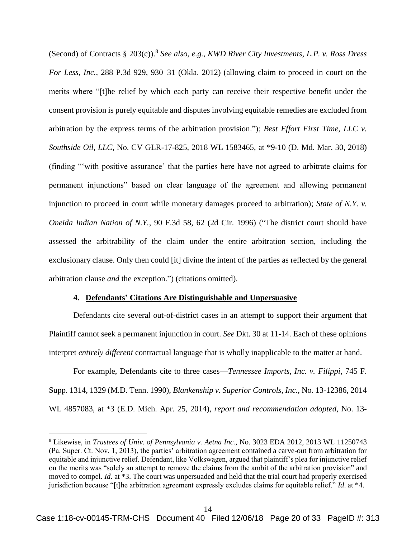(Second) of Contracts § 203(c)). 8 *See also, e.g., KWD River City Investments, L.P. v. Ross Dress For Less, Inc.,* 288 P.3d 929, 930–31 (Okla. 2012) (allowing claim to proceed in court on the merits where "[t]he relief by which each party can receive their respective benefit under the consent provision is purely equitable and disputes involving equitable remedies are excluded from arbitration by the express terms of the arbitration provision."); *Best Effort First Time, LLC v. Southside Oil, LLC*, No. CV GLR-17-825, 2018 WL 1583465, at \*9-10 (D. Md. Mar. 30, 2018) (finding "'with positive assurance' that the parties here have not agreed to arbitrate claims for permanent injunctions" based on clear language of the agreement and allowing permanent injunction to proceed in court while monetary damages proceed to arbitration); *State of N.Y. v. Oneida Indian Nation of N.Y.*, 90 F.3d 58, 62 (2d Cir. 1996) ("The district court should have assessed the arbitrability of the claim under the entire arbitration section, including the exclusionary clause. Only then could [it] divine the intent of the parties as reflected by the general arbitration clause *and* the exception.") (citations omitted).

#### **4. Defendants' Citations Are Distinguishable and Unpersuasive**

 $\overline{a}$ 

<span id="page-19-0"></span>Defendants cite several out-of-district cases in an attempt to support their argument that Plaintiff cannot seek a permanent injunction in court. *See* Dkt. 30 at 11-14. Each of these opinions interpret *entirely different* contractual language that is wholly inapplicable to the matter at hand.

For example, Defendants cite to three cases—*Tennessee Imports, Inc. v. Filippi*, 745 F. Supp. 1314, 1329 (M.D. Tenn. 1990), *Blankenship v. Superior Controls, Inc.*, No. 13-12386, 2014 WL 4857083, at \*3 (E.D. Mich. Apr. 25, 2014), *report and recommendation adopted*, No. 13-

<sup>8</sup> Likewise, in *Trustees of Univ. of Pennsylvania v. Aetna Inc.*, No. 3023 EDA 2012, 2013 WL 11250743 (Pa. Super. Ct. Nov. 1, 2013), the parties' arbitration agreement contained a carve-out from arbitration for equitable and injunctive relief. Defendant, like Volkswagen, argued that plaintiff's plea for injunctive relief on the merits was "solely an attempt to remove the claims from the ambit of the arbitration provision" and moved to compel. *Id*. at \*3. The court was unpersuaded and held that the trial court had properly exercised jurisdiction because "[t]he arbitration agreement expressly excludes claims for equitable relief." *Id*. at \*4.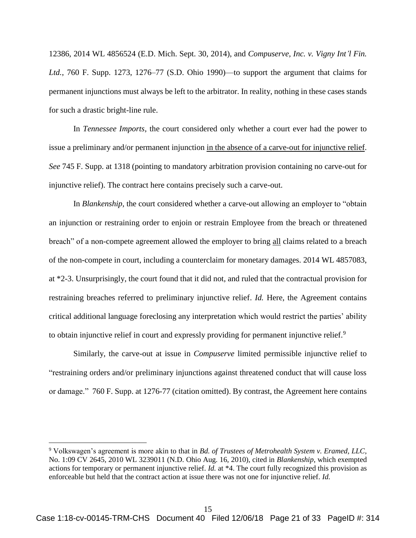12386, 2014 WL 4856524 (E.D. Mich. Sept. 30, 2014), and *Compuserve, Inc. v. Vigny Int'l Fin. Ltd.*, 760 F. Supp. 1273, 1276–77 (S.D. Ohio 1990)—to support the argument that claims for permanent injunctions must always be left to the arbitrator. In reality, nothing in these cases stands for such a drastic bright-line rule.

In *Tennessee Imports*, the court considered only whether a court ever had the power to issue a preliminary and/or permanent injunction in the absence of a carve-out for injunctive relief. *See* 745 F. Supp. at 1318 (pointing to mandatory arbitration provision containing no carve-out for injunctive relief). The contract here contains precisely such a carve-out.

In *Blankenship*, the court considered whether a carve-out allowing an employer to "obtain an injunction or restraining order to enjoin or restrain Employee from the breach or threatened breach" of a non-compete agreement allowed the employer to bring all claims related to a breach of the non-compete in court, including a counterclaim for monetary damages. 2014 WL 4857083, at \*2-3. Unsurprisingly, the court found that it did not, and ruled that the contractual provision for restraining breaches referred to preliminary injunctive relief. *Id.* Here, the Agreement contains critical additional language foreclosing any interpretation which would restrict the parties' ability to obtain injunctive relief in court and expressly providing for permanent injunctive relief.<sup>9</sup>

Similarly, the carve-out at issue in *Compuserve* limited permissible injunctive relief to "restraining orders and/or preliminary injunctions against threatened conduct that will cause loss or damage." 760 F. Supp. at 1276-77 (citation omitted). By contrast, the Agreement here contains

 $\overline{a}$ 

<sup>9</sup> Volkswagen's agreement is more akin to that in *Bd. of Trustees of Metrohealth System v. Eramed, LLC*, No. 1:09 CV 2645, 2010 WL 3239011 (N.D. Ohio Aug. 16, 2010), cited in *Blankenship*, which exempted actions for temporary or permanent injunctive relief. *Id.* at \*4. The court fully recognized this provision as enforceable but held that the contract action at issue there was not one for injunctive relief. *Id.*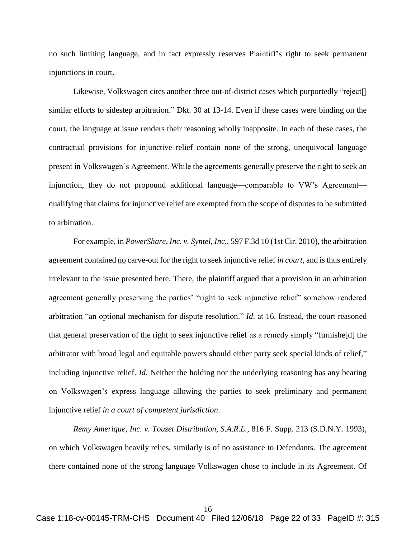no such limiting language, and in fact expressly reserves Plaintiff's right to seek permanent injunctions in court.

Likewise, Volkswagen cites another three out-of-district cases which purportedly "reject[] similar efforts to sidestep arbitration." Dkt. 30 at 13-14. Even if these cases were binding on the court, the language at issue renders their reasoning wholly inapposite. In each of these cases, the contractual provisions for injunctive relief contain none of the strong, unequivocal language present in Volkswagen's Agreement. While the agreements generally preserve the right to seek an injunction, they do not propound additional language—comparable to VW's Agreement qualifying that claims for injunctive relief are exempted from the scope of disputes to be submitted to arbitration.

For example, in *PowerShare, Inc. v. Syntel, Inc.*, 597 F.3d 10 (1st Cir. 2010), the arbitration agreement contained no carve-out for the right to seek injunctive relief *in court*, and is thus entirely irrelevant to the issue presented here. There, the plaintiff argued that a provision in an arbitration agreement generally preserving the parties' "right to seek injunctive relief" somehow rendered arbitration "an optional mechanism for dispute resolution." *Id*. at 16. Instead, the court reasoned that general preservation of the right to seek injunctive relief as a remedy simply "furnishe[d] the arbitrator with broad legal and equitable powers should either party seek special kinds of relief," including injunctive relief. *Id*. Neither the holding nor the underlying reasoning has any bearing on Volkswagen's express language allowing the parties to seek preliminary and permanent injunctive relief *in a court of competent jurisdiction*.

*Remy Amerique, Inc. v. Touzet Distribution, S.A.R.L.*, 816 F. Supp. 213 (S.D.N.Y. 1993), on which Volkswagen heavily relies, similarly is of no assistance to Defendants. The agreement there contained none of the strong language Volkswagen chose to include in its Agreement. Of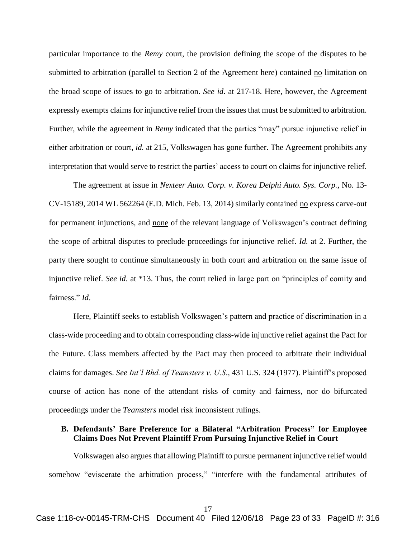particular importance to the *Remy* court, the provision defining the scope of the disputes to be submitted to arbitration (parallel to Section 2 of the Agreement here) contained no limitation on the broad scope of issues to go to arbitration. *See id*. at 217-18. Here, however, the Agreement expressly exempts claims for injunctive relief from the issues that must be submitted to arbitration. Further, while the agreement in *Remy* indicated that the parties "may" pursue injunctive relief in either arbitration or court, *id.* at 215, Volkswagen has gone further. The Agreement prohibits any interpretation that would serve to restrict the parties' access to court on claims for injunctive relief.

The agreement at issue in *Nexteer Auto. Corp. v. Korea Delphi Auto. Sys. Corp.*, No. 13- CV-15189, 2014 WL 562264 (E.D. Mich. Feb. 13, 2014) similarly contained no express carve-out for permanent injunctions, and none of the relevant language of Volkswagen's contract defining the scope of arbitral disputes to preclude proceedings for injunctive relief. *Id.* at 2. Further, the party there sought to continue simultaneously in both court and arbitration on the same issue of injunctive relief. *See id*. at \*13. Thus, the court relied in large part on "principles of comity and fairness." *Id*.

Here, Plaintiff seeks to establish Volkswagen's pattern and practice of discrimination in a class-wide proceeding and to obtain corresponding class-wide injunctive relief against the Pact for the Future. Class members affected by the Pact may then proceed to arbitrate their individual claims for damages. *See Int'l Bhd. of Teamsters v. U.S*., 431 U.S. 324 (1977). Plaintiff's proposed course of action has none of the attendant risks of comity and fairness, nor do bifurcated proceedings under the *Teamsters* model risk inconsistent rulings.

### <span id="page-22-0"></span>**B. Defendants' Bare Preference for a Bilateral "Arbitration Process" for Employee Claims Does Not Prevent Plaintiff From Pursuing Injunctive Relief in Court**

Volkswagen also argues that allowing Plaintiff to pursue permanent injunctive relief would somehow "eviscerate the arbitration process," "interfere with the fundamental attributes of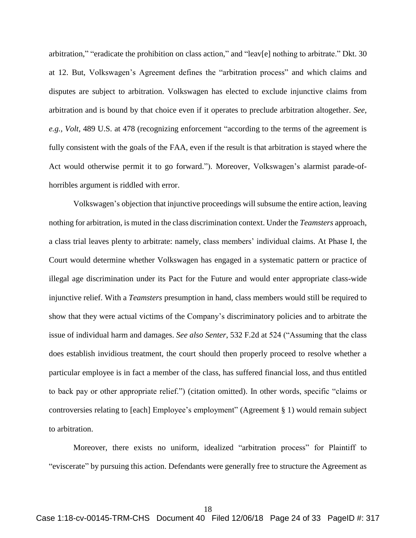arbitration," "eradicate the prohibition on class action," and "leav[e] nothing to arbitrate." Dkt. 30 at 12. But, Volkswagen's Agreement defines the "arbitration process" and which claims and disputes are subject to arbitration. Volkswagen has elected to exclude injunctive claims from arbitration and is bound by that choice even if it operates to preclude arbitration altogether. *See, e.g., Volt*, 489 U.S. at 478 (recognizing enforcement "according to the terms of the agreement is fully consistent with the goals of the FAA, even if the result is that arbitration is stayed where the Act would otherwise permit it to go forward."). Moreover, Volkswagen's alarmist parade-ofhorribles argument is riddled with error.

Volkswagen's objection that injunctive proceedings will subsume the entire action, leaving nothing for arbitration, is muted in the class discrimination context. Under the *Teamsters* approach, a class trial leaves plenty to arbitrate: namely, class members' individual claims. At Phase I, the Court would determine whether Volkswagen has engaged in a systematic pattern or practice of illegal age discrimination under its Pact for the Future and would enter appropriate class-wide injunctive relief. With a *Teamsters* presumption in hand, class members would still be required to show that they were actual victims of the Company's discriminatory policies and to arbitrate the issue of individual harm and damages. *See also Senter*, 532 F.2d at 524 ("Assuming that the class does establish invidious treatment, the court should then properly proceed to resolve whether a particular employee is in fact a member of the class, has suffered financial loss, and thus entitled to back pay or other appropriate relief.") (citation omitted). In other words, specific "claims or controversies relating to [each] Employee's employment" (Agreement § 1) would remain subject to arbitration.

Moreover, there exists no uniform, idealized "arbitration process" for Plaintiff to "eviscerate" by pursuing this action. Defendants were generally free to structure the Agreement as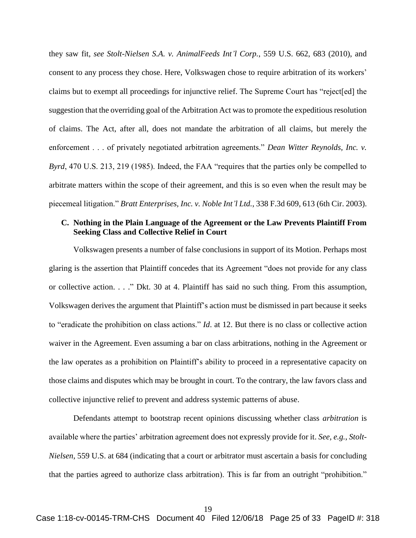they saw fit, *see Stolt-Nielsen S.A. v. AnimalFeeds Int'l Corp.*, 559 U.S. 662, 683 (2010), and consent to any process they chose. Here, Volkswagen chose to require arbitration of its workers' claims but to exempt all proceedings for injunctive relief. The Supreme Court has "reject[ed] the suggestion that the overriding goal of the Arbitration Act was to promote the expeditious resolution of claims. The Act, after all, does not mandate the arbitration of all claims, but merely the enforcement . . . of privately negotiated arbitration agreements." *Dean Witter Reynolds, Inc. v. Byrd*, 470 U.S. 213, 219 (1985). Indeed, the FAA "requires that the parties only be compelled to arbitrate matters within the scope of their agreement, and this is so even when the result may be piecemeal litigation." *Bratt Enterprises, Inc. v. Noble Int'l Ltd.*, 338 F.3d 609, 613 (6th Cir. 2003).

# <span id="page-24-0"></span>**C. Nothing in the Plain Language of the Agreement or the Law Prevents Plaintiff From Seeking Class and Collective Relief in Court**

Volkswagen presents a number of false conclusions in support of its Motion. Perhaps most glaring is the assertion that Plaintiff concedes that its Agreement "does not provide for any class or collective action. . . ." Dkt. 30 at 4. Plaintiff has said no such thing. From this assumption, Volkswagen derives the argument that Plaintiff's action must be dismissed in part because it seeks to "eradicate the prohibition on class actions." *Id*. at 12. But there is no class or collective action waiver in the Agreement. Even assuming a bar on class arbitrations, nothing in the Agreement or the law operates as a prohibition on Plaintiff's ability to proceed in a representative capacity on those claims and disputes which may be brought in court. To the contrary, the law favors class and collective injunctive relief to prevent and address systemic patterns of abuse.

Defendants attempt to bootstrap recent opinions discussing whether class *arbitration* is available where the parties' arbitration agreement does not expressly provide for it. *See, e.g.*, *Stolt-Nielsen*, 559 U.S. at 684 (indicating that a court or arbitrator must ascertain a basis for concluding that the parties agreed to authorize class arbitration). This is far from an outright "prohibition."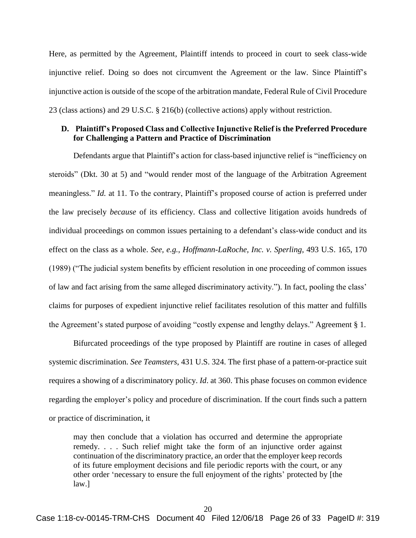Here, as permitted by the Agreement, Plaintiff intends to proceed in court to seek class-wide injunctive relief. Doing so does not circumvent the Agreement or the law. Since Plaintiff's injunctive action is outside of the scope of the arbitration mandate, Federal Rule of Civil Procedure 23 (class actions) and 29 U.S.C. § 216(b) (collective actions) apply without restriction.

### <span id="page-25-0"></span>**D. Plaintiff's Proposed Class and Collective Injunctive Relief is the Preferred Procedure for Challenging a Pattern and Practice of Discrimination**

Defendants argue that Plaintiff's action for class-based injunctive relief is "inefficiency on steroids" (Dkt. 30 at 5) and "would render most of the language of the Arbitration Agreement meaningless." *Id.* at 11. To the contrary, Plaintiff's proposed course of action is preferred under the law precisely *because* of its efficiency. Class and collective litigation avoids hundreds of individual proceedings on common issues pertaining to a defendant's class-wide conduct and its effect on the class as a whole. *See, e.g.*, *Hoffmann-LaRoche, Inc. v. Sperling*, 493 U.S. 165, 170 (1989) ("The judicial system benefits by efficient resolution in one proceeding of common issues of law and fact arising from the same alleged discriminatory activity."). In fact, pooling the class' claims for purposes of expedient injunctive relief facilitates resolution of this matter and fulfills the Agreement's stated purpose of avoiding "costly expense and lengthy delays." Agreement § 1.

Bifurcated proceedings of the type proposed by Plaintiff are routine in cases of alleged systemic discrimination. *See Teamsters*, 431 U.S. 324. The first phase of a pattern-or-practice suit requires a showing of a discriminatory policy. *Id*. at 360. This phase focuses on common evidence regarding the employer's policy and procedure of discrimination. If the court finds such a pattern or practice of discrimination, it

may then conclude that a violation has occurred and determine the appropriate remedy. . . . Such relief might take the form of an injunctive order against continuation of the discriminatory practice, an order that the employer keep records of its future employment decisions and file periodic reports with the court, or any other order 'necessary to ensure the full enjoyment of the rights' protected by [the law.]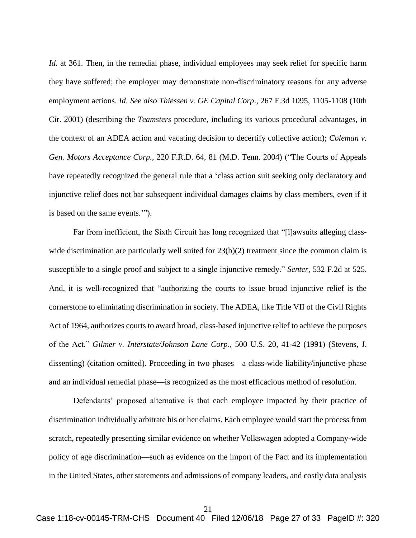*Id.* at 361. Then, in the remedial phase, individual employees may seek relief for specific harm they have suffered; the employer may demonstrate non-discriminatory reasons for any adverse employment actions. *Id*. *See also Thiessen v. GE Capital Corp*., 267 F.3d 1095, 1105-1108 (10th Cir. 2001) (describing the *Teamsters* procedure, including its various procedural advantages, in the context of an ADEA action and vacating decision to decertify collective action); *Coleman v. Gen. Motors Acceptance Corp.*, 220 F.R.D. 64, 81 (M.D. Tenn. 2004) ("The Courts of Appeals have repeatedly recognized the general rule that a 'class action suit seeking only declaratory and injunctive relief does not bar subsequent individual damages claims by class members, even if it is based on the same events.'").

Far from inefficient, the Sixth Circuit has long recognized that "[l]awsuits alleging classwide discrimination are particularly well suited for  $23(b)(2)$  treatment since the common claim is susceptible to a single proof and subject to a single injunctive remedy." *Senter*, 532 F.2d at 525. And, it is well-recognized that "authorizing the courts to issue broad injunctive relief is the cornerstone to eliminating discrimination in society. The ADEA, like Title VII of the Civil Rights Act of 1964, authorizes courts to award broad, class-based injunctive relief to achieve the purposes of the Act." *Gilmer v. Interstate/Johnson Lane Corp*., 500 U.S. 20, 41-42 (1991) (Stevens, J. dissenting) (citation omitted). Proceeding in two phases—a class-wide liability/injunctive phase and an individual remedial phase—is recognized as the most efficacious method of resolution.

Defendants' proposed alternative is that each employee impacted by their practice of discrimination individually arbitrate his or her claims. Each employee would start the process from scratch, repeatedly presenting similar evidence on whether Volkswagen adopted a Company-wide policy of age discrimination—such as evidence on the import of the Pact and its implementation in the United States, other statements and admissions of company leaders, and costly data analysis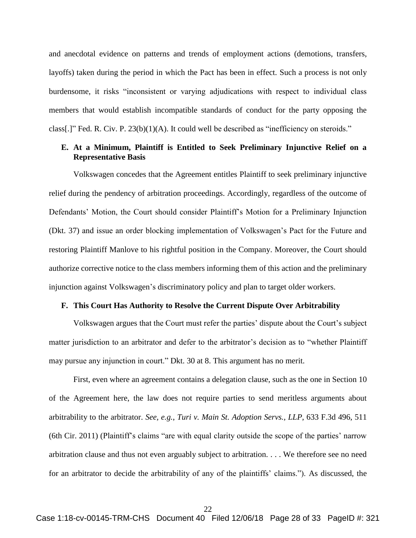and anecdotal evidence on patterns and trends of employment actions (demotions, transfers, layoffs) taken during the period in which the Pact has been in effect. Such a process is not only burdensome, it risks "inconsistent or varying adjudications with respect to individual class members that would establish incompatible standards of conduct for the party opposing the class[.]" Fed. R. Civ. P.  $23(b)(1)(A)$ . It could well be described as "inefficiency on steroids."

# <span id="page-27-0"></span>**E. At a Minimum, Plaintiff is Entitled to Seek Preliminary Injunctive Relief on a Representative Basis**

Volkswagen concedes that the Agreement entitles Plaintiff to seek preliminary injunctive relief during the pendency of arbitration proceedings. Accordingly, regardless of the outcome of Defendants' Motion, the Court should consider Plaintiff's Motion for a Preliminary Injunction (Dkt. 37) and issue an order blocking implementation of Volkswagen's Pact for the Future and restoring Plaintiff Manlove to his rightful position in the Company. Moreover, the Court should authorize corrective notice to the class members informing them of this action and the preliminary injunction against Volkswagen's discriminatory policy and plan to target older workers.

#### <span id="page-27-1"></span>**F. This Court Has Authority to Resolve the Current Dispute Over Arbitrability**

Volkswagen argues that the Court must refer the parties' dispute about the Court's subject matter jurisdiction to an arbitrator and defer to the arbitrator's decision as to "whether Plaintiff may pursue any injunction in court." Dkt. 30 at 8. This argument has no merit.

First, even where an agreement contains a delegation clause, such as the one in Section 10 of the Agreement here, the law does not require parties to send meritless arguments about arbitrability to the arbitrator. *See, e.g.*, *Turi v. Main St. Adoption Servs., LLP*, 633 F.3d 496, 511 (6th Cir. 2011) (Plaintiff's claims "are with equal clarity outside the scope of the parties' narrow arbitration clause and thus not even arguably subject to arbitration. . . . We therefore see no need for an arbitrator to decide the arbitrability of any of the plaintiffs' claims."). As discussed, the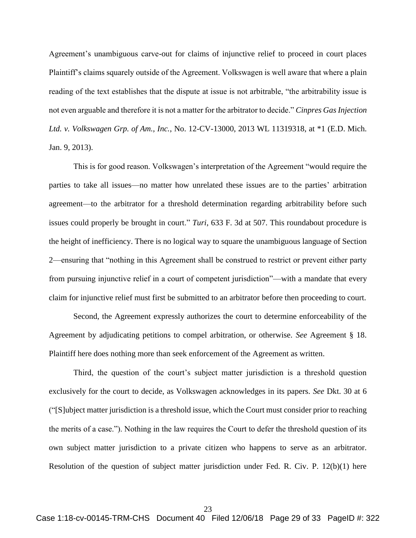Agreement's unambiguous carve-out for claims of injunctive relief to proceed in court places Plaintiff's claims squarely outside of the Agreement. Volkswagen is well aware that where a plain reading of the text establishes that the dispute at issue is not arbitrable, "the arbitrability issue is not even arguable and therefore it is not a matter for the arbitrator to decide." *Cinpres Gas Injection Ltd. v. Volkswagen Grp. of Am., Inc.*, No. 12-CV-13000, 2013 WL 11319318, at \*1 (E.D. Mich. Jan. 9, 2013).

This is for good reason. Volkswagen's interpretation of the Agreement "would require the parties to take all issues—no matter how unrelated these issues are to the parties' arbitration agreement—to the arbitrator for a threshold determination regarding arbitrability before such issues could properly be brought in court." *Turi*, 633 F. 3d at 507. This roundabout procedure is the height of inefficiency. There is no logical way to square the unambiguous language of Section 2—ensuring that "nothing in this Agreement shall be construed to restrict or prevent either party from pursuing injunctive relief in a court of competent jurisdiction"—with a mandate that every claim for injunctive relief must first be submitted to an arbitrator before then proceeding to court.

Second, the Agreement expressly authorizes the court to determine enforceability of the Agreement by adjudicating petitions to compel arbitration, or otherwise. *See* Agreement § 18. Plaintiff here does nothing more than seek enforcement of the Agreement as written.

Third, the question of the court's subject matter jurisdiction is a threshold question exclusively for the court to decide, as Volkswagen acknowledges in its papers. *See* Dkt. 30 at 6 ("[S]ubject matter jurisdiction is a threshold issue, which the Court must consider prior to reaching the merits of a case."). Nothing in the law requires the Court to defer the threshold question of its own subject matter jurisdiction to a private citizen who happens to serve as an arbitrator. Resolution of the question of subject matter jurisdiction under Fed. R. Civ. P. 12(b)(1) here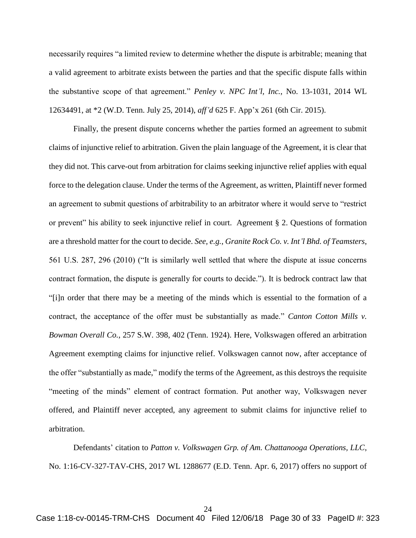necessarily requires "a limited review to determine whether the dispute is arbitrable; meaning that a valid agreement to arbitrate exists between the parties and that the specific dispute falls within the substantive scope of that agreement." *Penley v. NPC Int'l, Inc.*, No. 13-1031, 2014 WL 12634491, at \*2 (W.D. Tenn. July 25, 2014), *aff'd* 625 F. App'x 261 (6th Cir. 2015).

Finally, the present dispute concerns whether the parties formed an agreement to submit claims of injunctive relief to arbitration. Given the plain language of the Agreement, it is clear that they did not. This carve-out from arbitration for claims seeking injunctive relief applies with equal force to the delegation clause. Under the terms of the Agreement, as written, Plaintiff never formed an agreement to submit questions of arbitrability to an arbitrator where it would serve to "restrict or prevent" his ability to seek injunctive relief in court. Agreement § 2. Questions of formation are a threshold matter for the court to decide. *See, e.g.*, *Granite Rock Co. v. Int'l Bhd. of Teamsters*, 561 U.S. 287, 296 (2010) ("It is similarly well settled that where the dispute at issue concerns contract formation, the dispute is generally for courts to decide."). It is bedrock contract law that "[i]n order that there may be a meeting of the minds which is essential to the formation of a contract, the acceptance of the offer must be substantially as made." *Canton Cotton Mills v. Bowman Overall Co.*, 257 S.W. 398, 402 (Tenn. 1924). Here, Volkswagen offered an arbitration Agreement exempting claims for injunctive relief. Volkswagen cannot now, after acceptance of the offer "substantially as made," modify the terms of the Agreement, as this destroys the requisite "meeting of the minds" element of contract formation. Put another way, Volkswagen never offered, and Plaintiff never accepted, any agreement to submit claims for injunctive relief to arbitration.

Defendants' citation to *Patton v. Volkswagen Grp. of Am. Chattanooga Operations, LLC*, No. 1:16-CV-327-TAV-CHS, 2017 WL 1288677 (E.D. Tenn. Apr. 6, 2017) offers no support of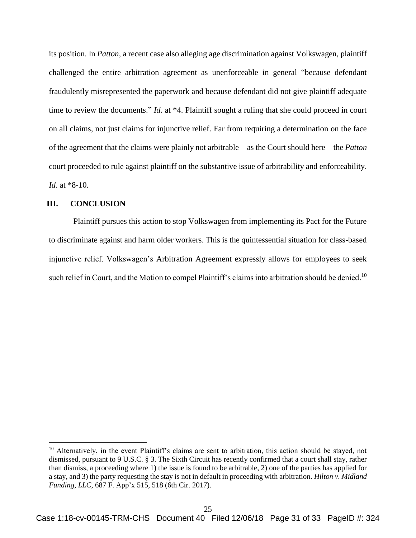its position. In *Patton*, a recent case also alleging age discrimination against Volkswagen, plaintiff challenged the entire arbitration agreement as unenforceable in general "because defendant fraudulently misrepresented the paperwork and because defendant did not give plaintiff adequate time to review the documents." *Id.* at \*4. Plaintiff sought a ruling that she could proceed in court on all claims, not just claims for injunctive relief. Far from requiring a determination on the face of the agreement that the claims were plainly not arbitrable—as the Court should here—the *Patton* court proceeded to rule against plaintiff on the substantive issue of arbitrability and enforceability. *Id*. at \*8-10.

### <span id="page-30-0"></span>**III. CONCLUSION**

 $\overline{a}$ 

Plaintiff pursues this action to stop Volkswagen from implementing its Pact for the Future to discriminate against and harm older workers. This is the quintessential situation for class-based injunctive relief. Volkswagen's Arbitration Agreement expressly allows for employees to seek such relief in Court, and the Motion to compel Plaintiff's claims into arbitration should be denied.<sup>10</sup>

<sup>&</sup>lt;sup>10</sup> Alternatively, in the event Plaintiff's claims are sent to arbitration, this action should be stayed, not dismissed, pursuant to 9 U.S.C. § 3. The Sixth Circuit has recently confirmed that a court shall stay, rather than dismiss, a proceeding where 1) the issue is found to be arbitrable, 2) one of the parties has applied for a stay, and 3) the party requesting the stay is not in default in proceeding with arbitration. *Hilton v. Midland Funding, LLC*, 687 F. App'x 515, 518 (6th Cir. 2017).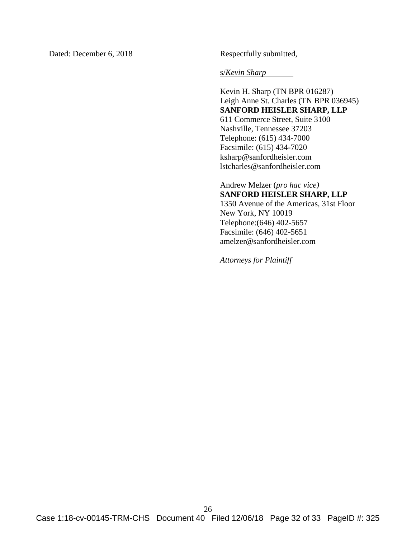Dated: December 6, 2018 Respectfully submitted,

s/*Kevin Sharp*

Kevin H. Sharp (TN BPR 016287) Leigh Anne St. Charles (TN BPR 036945) **SANFORD HEISLER SHARP, LLP** 611 Commerce Street, Suite 3100 Nashville, Tennessee 37203 Telephone: (615) 434-7000 Facsimile: (615) 434-7020 ksharp@sanfordheisler.com lstcharles@sanfordheisler.com

Andrew Melzer (*pro hac vice)* **SANFORD HEISLER SHARP, LLP** 1350 Avenue of the Americas, 31st Floor

New York, NY 10019 Telephone:(646) 402-5657 Facsimile: (646) 402-5651 amelzer@sanfordheisler.com

*Attorneys for Plaintiff*